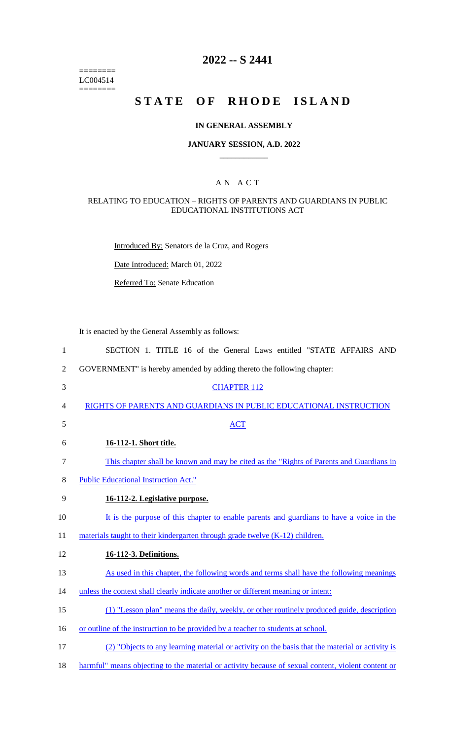======== LC004514  $=$ 

## **2022 -- S 2441**

# **STATE OF RHODE ISLAND**

### **IN GENERAL ASSEMBLY**

#### **JANUARY SESSION, A.D. 2022 \_\_\_\_\_\_\_\_\_\_\_\_**

#### A N A C T

#### RELATING TO EDUCATION – RIGHTS OF PARENTS AND GUARDIANS IN PUBLIC EDUCATIONAL INSTITUTIONS ACT

Introduced By: Senators de la Cruz, and Rogers

Date Introduced: March 01, 2022

Referred To: Senate Education

It is enacted by the General Assembly as follows:

| $\mathbf{1}$   | SECTION 1. TITLE 16 of the General Laws entitled "STATE AFFAIRS AND                                |
|----------------|----------------------------------------------------------------------------------------------------|
| $\overline{2}$ | GOVERNMENT" is hereby amended by adding thereto the following chapter:                             |
| 3              | <b>CHAPTER 112</b>                                                                                 |
| 4              | RIGHTS OF PARENTS AND GUARDIANS IN PUBLIC EDUCATIONAL INSTRUCTION                                  |
| 5              | <b>ACT</b>                                                                                         |
| 6              | 16-112-1. Short title.                                                                             |
| $\tau$         | This chapter shall be known and may be cited as the "Rights of Parents and Guardians in            |
| 8              | <b>Public Educational Instruction Act."</b>                                                        |
| 9              | 16-112-2. Legislative purpose.                                                                     |
| 10             | It is the purpose of this chapter to enable parents and guardians to have a voice in the           |
| 11             | materials taught to their kindergarten through grade twelve (K-12) children.                       |
| 12             | 16-112-3. Definitions.                                                                             |
| 13             | As used in this chapter, the following words and terms shall have the following meanings           |
| 14             | unless the context shall clearly indicate another or different meaning or intent:                  |
| 15             | (1) "Lesson plan" means the daily, weekly, or other routinely produced guide, description          |
| 16             | or outline of the instruction to be provided by a teacher to students at school.                   |
| 17             | (2) "Objects to any learning material or activity on the basis that the material or activity is    |
| 18             | harmful" means objecting to the material or activity because of sexual content, violent content or |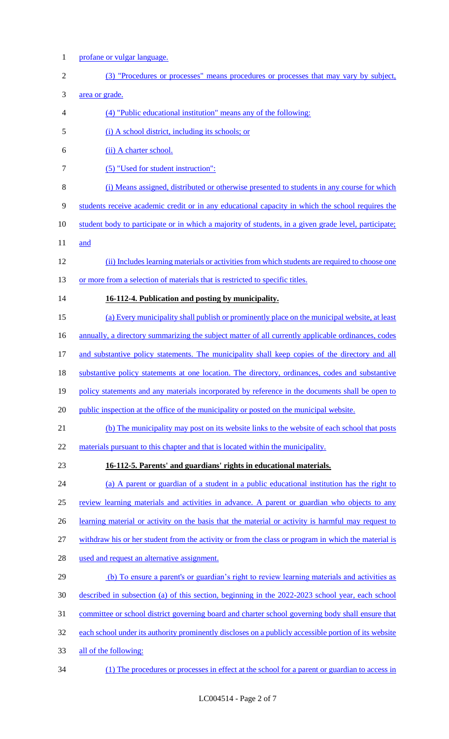profane or vulgar language. (3) "Procedures or processes" means procedures or processes that may vary by subject, area or grade. (4) "Public educational institution" means any of the following: (i) A school district, including its schools; or (ii) A charter school. 7 (5) "Used for student instruction": (i) Means assigned, distributed or otherwise presented to students in any course for which students receive academic credit or in any educational capacity in which the school requires the student body to participate or in which a majority of students, in a given grade level, participate; 11 and (ii) Includes learning materials or activities from which students are required to choose one 13 or more from a selection of materials that is restricted to specific titles. **16-112-4. Publication and posting by municipality.** (a) Every municipality shall publish or prominently place on the municipal website, at least 16 annually, a directory summarizing the subject matter of all currently applicable ordinances, codes 17 and substantive policy statements. The municipality shall keep copies of the directory and all substantive policy statements at one location. The directory, ordinances, codes and substantive 19 policy statements and any materials incorporated by reference in the documents shall be open to 20 public inspection at the office of the municipality or posted on the municipal website. (b) The municipality may post on its website links to the website of each school that posts 22 materials pursuant to this chapter and that is located within the municipality. **16-112-5. Parents' and guardians' rights in educational materials.** (a) A parent or guardian of a student in a public educational institution has the right to review learning materials and activities in advance. A parent or guardian who objects to any 26 learning material or activity on the basis that the material or activity is harmful may request to withdraw his or her student from the activity or from the class or program in which the material is used and request an alternative assignment. (b) To ensure a parent's or guardian's right to review learning materials and activities as described in subsection (a) of this section, beginning in the 2022-2023 school year, each school committee or school district governing board and charter school governing body shall ensure that each school under its authority prominently discloses on a publicly accessible portion of its website all of the following: (1) The procedures or processes in effect at the school for a parent or guardian to access in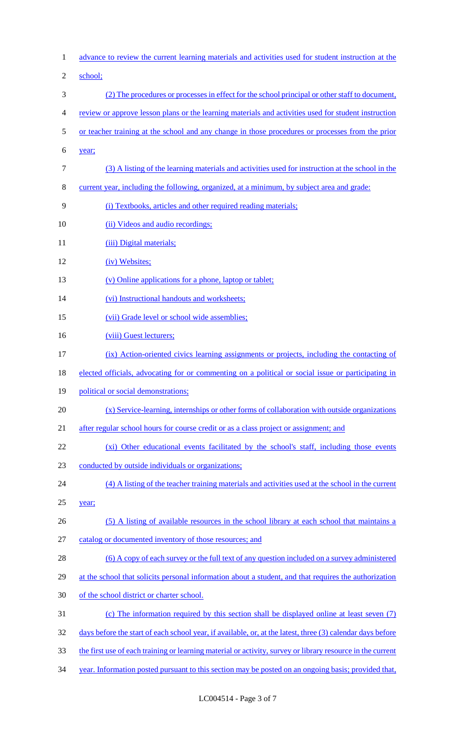| $\mathbf{1}$   | advance to review the current learning materials and activities used for student instruction at the        |
|----------------|------------------------------------------------------------------------------------------------------------|
| $\overline{c}$ | school;                                                                                                    |
| 3              | (2) The procedures or processes in effect for the school principal or other staff to document,             |
| 4              | review or approve lesson plans or the learning materials and activities used for student instruction       |
| 5              | or teacher training at the school and any change in those procedures or processes from the prior           |
| 6              | year;                                                                                                      |
| 7              | (3) A listing of the learning materials and activities used for instruction at the school in the           |
| 8              | current year, including the following, organized, at a minimum, by subject area and grade:                 |
| 9              | (i) Textbooks, articles and other required reading materials;                                              |
| 10             | (ii) Videos and audio recordings;                                                                          |
| 11             | (iii) Digital materials;                                                                                   |
| 12             | (iv) Websites;                                                                                             |
| 13             | (v) Online applications for a phone, laptop or tablet;                                                     |
| 14             | (vi) Instructional handouts and worksheets;                                                                |
| 15             | (vii) Grade level or school wide assemblies;                                                               |
| 16             | (viii) Guest lecturers;                                                                                    |
| 17             | (ix) Action-oriented civics learning assignments or projects, including the contacting of                  |
| 18             | elected officials, advocating for or commenting on a political or social issue or participating in         |
| 19             | political or social demonstrations;                                                                        |
| 20             | (x) Service-learning, internships or other forms of collaboration with outside organizations               |
| 21             | after regular school hours for course credit or as a class project or assignment; and                      |
| 22             | (xi) Other educational events facilitated by the school's staff, including those events                    |
| 23             | conducted by outside individuals or organizations;                                                         |
| 24             | (4) A listing of the teacher training materials and activities used at the school in the current           |
| 25             | year;                                                                                                      |
| 26             | (5) A listing of available resources in the school library at each school that maintains a                 |
| 27             | catalog or documented inventory of those resources; and                                                    |
| 28             | (6) A copy of each survey or the full text of any question included on a survey administered               |
| 29             | at the school that solicits personal information about a student, and that requires the authorization      |
| 30             | of the school district or charter school.                                                                  |
| 31             | (c) The information required by this section shall be displayed online at least seven (7)                  |
| 32             | days before the start of each school year, if available, or, at the latest, three (3) calendar days before |
| 33             | the first use of each training or learning material or activity, survey or library resource in the current |
| 34             | year. Information posted pursuant to this section may be posted on an ongoing basis; provided that,        |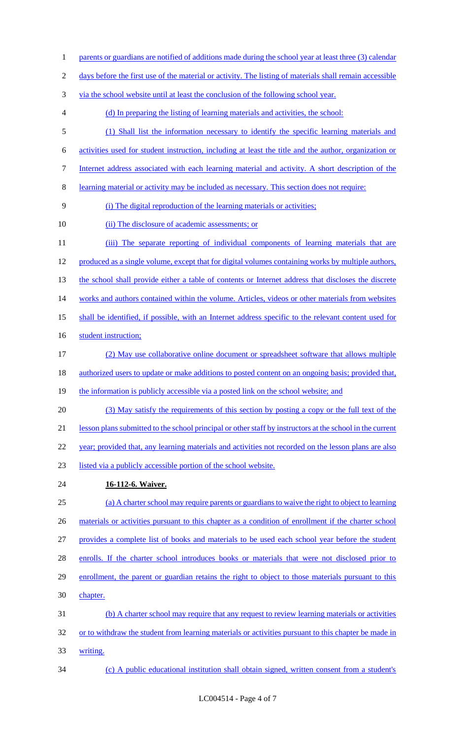- 1 parents or guardians are notified of additions made during the school year at least three (3) calendar
- days before the first use of the material or activity. The listing of materials shall remain accessible
- via the school website until at least the conclusion of the following school year.
- (d) In preparing the listing of learning materials and activities, the school:
- (1) Shall list the information necessary to identify the specific learning materials and
- activities used for student instruction, including at least the title and the author, organization or
- Internet address associated with each learning material and activity. A short description of the
- learning material or activity may be included as necessary. This section does not require:
- (i) The digital reproduction of the learning materials or activities;
- 10 (ii) The disclosure of academic assessments; or
- 11 (iii) The separate reporting of individual components of learning materials that are produced as a single volume, except that for digital volumes containing works by multiple authors, 13 the school shall provide either a table of contents or Internet address that discloses the discrete 14 works and authors contained within the volume. Articles, videos or other materials from websites shall be identified, if possible, with an Internet address specific to the relevant content used for 16 student instruction; (2) May use collaborative online document or spreadsheet software that allows multiple
- 18 authorized users to update or make additions to posted content on an ongoing basis; provided that,
- 19 the information is publicly accessible via a posted link on the school website; and
- (3) May satisfy the requirements of this section by posting a copy or the full text of the lesson plans submitted to the school principal or other staff by instructors at the school in the current 22 year; provided that, any learning materials and activities not recorded on the lesson plans are also
- listed via a publicly accessible portion of the school website.
- **16-112-6. Waiver.**
- (a) A charter school may require parents or guardians to waive the right to object to learning 26 materials or activities pursuant to this chapter as a condition of enrollment if the charter school provides a complete list of books and materials to be used each school year before the student enrolls. If the charter school introduces books or materials that were not disclosed prior to enrollment, the parent or guardian retains the right to object to those materials pursuant to this chapter. (b) A charter school may require that any request to review learning materials or activities 32 or to withdraw the student from learning materials or activities pursuant to this chapter be made in
- writing.
- (c) A public educational institution shall obtain signed, written consent from a student's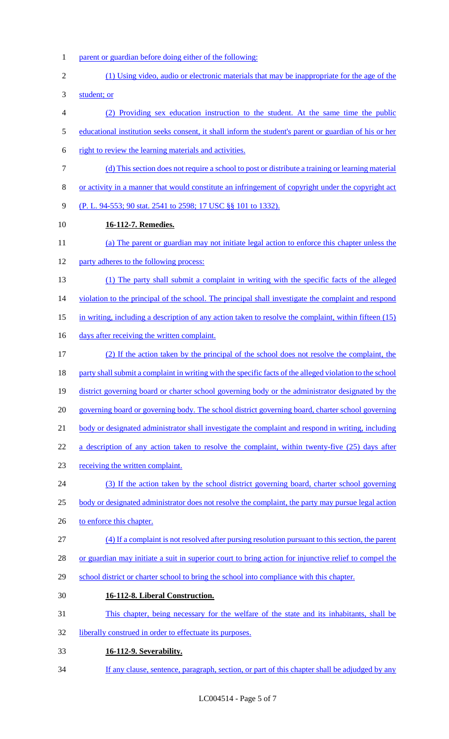- parent or guardian before doing either of the following:
- (1) Using video, audio or electronic materials that may be inappropriate for the age of the

student; or

- (2) Providing sex education instruction to the student. At the same time the public
- educational institution seeks consent, it shall inform the student's parent or guardian of his or her
- right to review the learning materials and activities.
- (d) This section does not require a school to post or distribute a training or learning material
- or activity in a manner that would constitute an infringement of copyright under the copyright act
- (P. L. 94-553; 90 stat. 2541 to 2598; 17 USC §§ 101 to 1332).
- **16-112-7. Remedies.**
- (a) The parent or guardian may not initiate legal action to enforce this chapter unless the
- 12 party adheres to the following process:
- (1) The party shall submit a complaint in writing with the specific facts of the alleged
- 14 violation to the principal of the school. The principal shall investigate the complaint and respond
- in writing, including a description of any action taken to resolve the complaint, within fifteen (15)
- 16 days after receiving the written complaint.
- (2) If the action taken by the principal of the school does not resolve the complaint, the
- 18 party shall submit a complaint in writing with the specific facts of the alleged violation to the school
- district governing board or charter school governing body or the administrator designated by the
- governing board or governing body. The school district governing board, charter school governing
- body or designated administrator shall investigate the complaint and respond in writing, including
- 22 a description of any action taken to resolve the complaint, within twenty-five (25) days after
- receiving the written complaint.
- (3) If the action taken by the school district governing board, charter school governing
- body or designated administrator does not resolve the complaint, the party may pursue legal action
- 26 to enforce this chapter.
- (4) If a complaint is not resolved after pursing resolution pursuant to this section, the parent
- 28 or guardian may initiate a suit in superior court to bring action for injunctive relief to compel the
- 29 school district or charter school to bring the school into compliance with this chapter.
- **16-112-8. Liberal Construction.**
- This chapter, being necessary for the welfare of the state and its inhabitants, shall be
- liberally construed in order to effectuate its purposes.
- **16-112-9. Severability.**
- 34 If any clause, sentence, paragraph, section, or part of this chapter shall be adjudged by any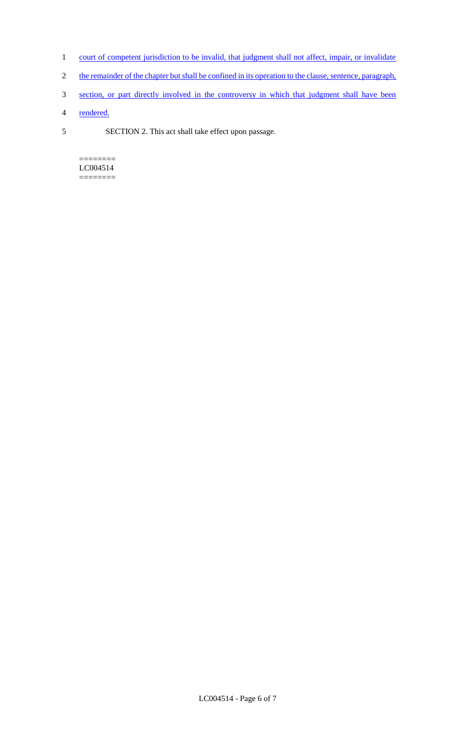- 1 court of competent jurisdiction to be invalid, that judgment shall not affect, impair, or invalidate
- 2 the remainder of the chapter but shall be confined in its operation to the clause, sentence, paragraph,
- 3 section, or part directly involved in the controversy in which that judgment shall have been
- 4 rendered.
- 5 SECTION 2. This act shall take effect upon passage.

======== LC004514 ========